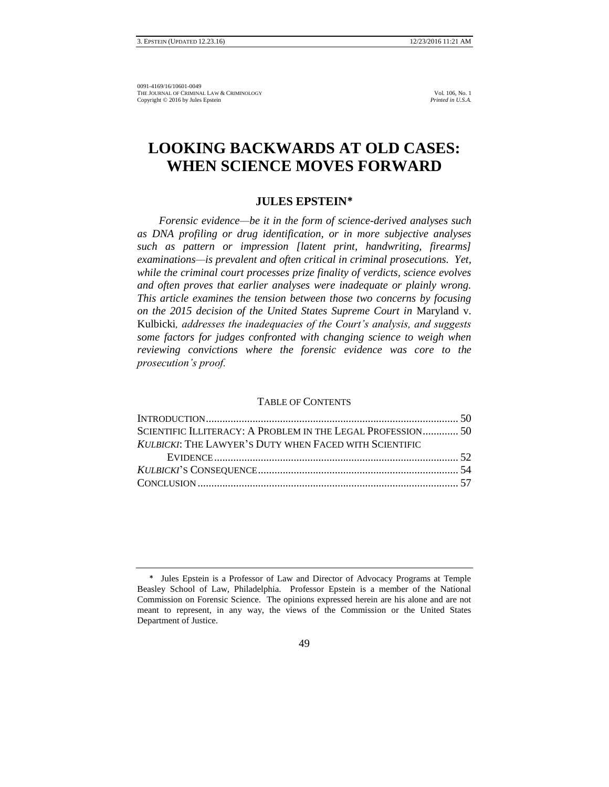# **LOOKING BACKWARDS AT OLD CASES: WHEN SCIENCE MOVES FORWARD**

# **JULES EPSTEIN\***

*Forensic evidence—be it in the form of science-derived analyses such as DNA profiling or drug identification, or in more subjective analyses such as pattern or impression [latent print, handwriting, firearms] examinations—is prevalent and often critical in criminal prosecutions. Yet, while the criminal court processes prize finality of verdicts, science evolves and often proves that earlier analyses were inadequate or plainly wrong. This article examines the tension between those two concerns by focusing on the 2015 decision of the United States Supreme Court in* Maryland v. Kulbicki*, addresses the inadequacies of the Court's analysis, and suggests some factors for judges confronted with changing science to weigh when reviewing convictions where the forensic evidence was core to the prosecution's proof.*

# TABLE OF CONTENTS

| SCIENTIFIC ILLITERACY: A PROBLEM IN THE LEGAL PROFESSION 50 |  |
|-------------------------------------------------------------|--|
| KULBICKI: THE LAWYER'S DUTY WHEN FACED WITH SCIENTIFIC      |  |
|                                                             |  |
|                                                             |  |
|                                                             |  |

<sup>\*</sup> Jules Epstein is a Professor of Law and Director of Advocacy Programs at Temple Beasley School of Law, Philadelphia. Professor Epstein is a member of the National Commission on Forensic Science. The opinions expressed herein are his alone and are not meant to represent, in any way, the views of the Commission or the United States Department of Justice.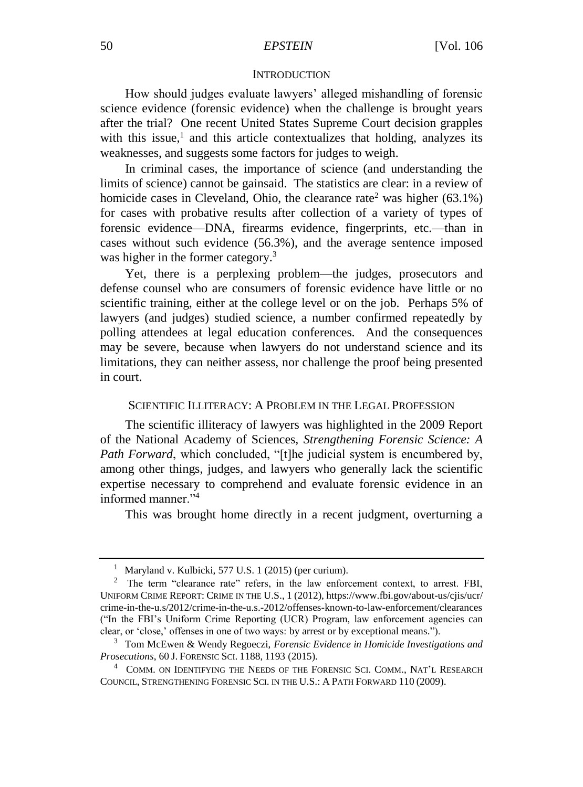### **INTRODUCTION**

How should judges evaluate lawyers' alleged mishandling of forensic science evidence (forensic evidence) when the challenge is brought years after the trial? One recent United States Supreme Court decision grapples with this issue, $<sup>1</sup>$  and this article contextualizes that holding, analyzes its</sup> weaknesses, and suggests some factors for judges to weigh.

In criminal cases, the importance of science (and understanding the limits of science) cannot be gainsaid. The statistics are clear: in a review of homicide cases in Cleveland, Ohio, the clearance rate<sup>2</sup> was higher (63.1%) for cases with probative results after collection of a variety of types of forensic evidence—DNA, firearms evidence, fingerprints, etc.—than in cases without such evidence (56.3%), and the average sentence imposed was higher in the former category.<sup>3</sup>

Yet, there is a perplexing problem—the judges, prosecutors and defense counsel who are consumers of forensic evidence have little or no scientific training, either at the college level or on the job. Perhaps 5% of lawyers (and judges) studied science, a number confirmed repeatedly by polling attendees at legal education conferences. And the consequences may be severe, because when lawyers do not understand science and its limitations, they can neither assess, nor challenge the proof being presented in court.

# SCIENTIFIC ILLITERACY: A PROBLEM IN THE LEGAL PROFESSION

The scientific illiteracy of lawyers was highlighted in the 2009 Report of the National Academy of Sciences, *Strengthening Forensic Science: A Path Forward*, which concluded, "[t]he judicial system is encumbered by, among other things, judges, and lawyers who generally lack the scientific expertise necessary to comprehend and evaluate forensic evidence in an informed manner."<sup>4</sup>

This was brought home directly in a recent judgment, overturning a

<sup>&</sup>lt;sup>1</sup> Maryland v. Kulbicki, 577 U.S. 1 (2015) (per curium).

<sup>&</sup>lt;sup>2</sup> The term "clearance rate" refers, in the law enforcement context, to arrest. FBI, UNIFORM CRIME REPORT: CRIME IN THE U.S., 1 (2012), https://www.fbi.gov/about-us/cjis/ucr/ crime-in-the-u.s/2012/crime-in-the-u.s.-2012/offenses-known-to-law-enforcement/clearances ("In the FBI's Uniform Crime Reporting (UCR) Program, law enforcement agencies can clear, or 'close,' offenses in one of two ways: by arrest or by exceptional means.").

<sup>3</sup> Tom McEwen & Wendy Regoeczi, *Forensic Evidence in Homicide Investigations and Prosecutions*, 60 J. FORENSIC SCI. 1188, 1193 (2015).

<sup>&</sup>lt;sup>4</sup> COMM. ON IDENTIFYING THE NEEDS OF THE FORENSIC SCI. COMM., NAT'L RESEARCH COUNCIL, STRENGTHENING FORENSIC SCI. IN THE U.S.: A PATH FORWARD 110 (2009).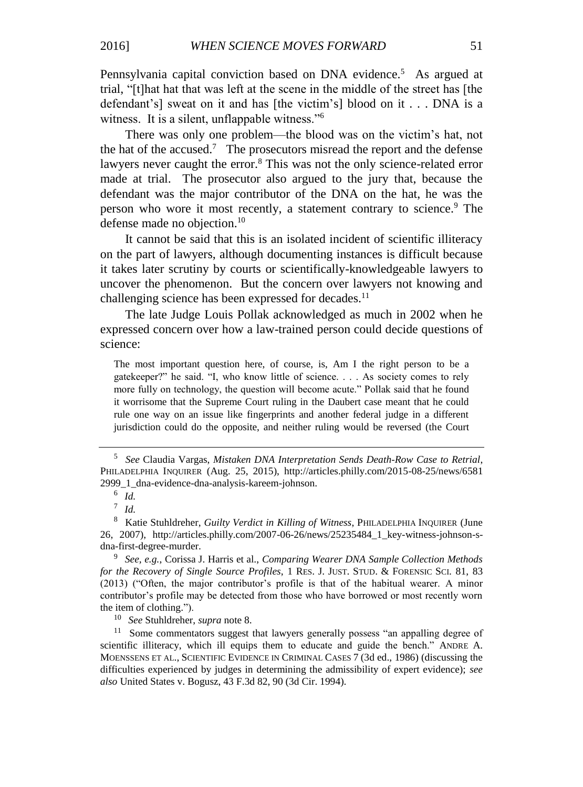Pennsylvania capital conviction based on DNA evidence.<sup>5</sup> As argued at trial, "[t]hat hat that was left at the scene in the middle of the street has [the defendant's] sweat on it and has [the victim's] blood on it . . . DNA is a witness. It is a silent, unflappable witness."<sup>6</sup>

There was only one problem—the blood was on the victim's hat, not the hat of the accused.<sup>7</sup> The prosecutors misread the report and the defense lawyers never caught the error.<sup>8</sup> This was not the only science-related error made at trial. The prosecutor also argued to the jury that, because the defendant was the major contributor of the DNA on the hat, he was the person who wore it most recently, a statement contrary to science.<sup>9</sup> The defense made no objection.<sup>10</sup>

It cannot be said that this is an isolated incident of scientific illiteracy on the part of lawyers, although documenting instances is difficult because it takes later scrutiny by courts or scientifically-knowledgeable lawyers to uncover the phenomenon. But the concern over lawyers not knowing and challenging science has been expressed for decades.<sup>11</sup>

The late Judge Louis Pollak acknowledged as much in 2002 when he expressed concern over how a law-trained person could decide questions of science:

The most important question here, of course, is, Am I the right person to be a gatekeeper?" he said. "I, who know little of science. . . . As society comes to rely more fully on technology, the question will become acute." Pollak said that he found it worrisome that the Supreme Court ruling in the Daubert case meant that he could rule one way on an issue like fingerprints and another federal judge in a different jurisdiction could do the opposite, and neither ruling would be reversed (the Court

<sup>10</sup> *See* Stuhldreher, *supra* note 8.

 $11$  Some commentators suggest that lawyers generally possess "an appalling degree of scientific illiteracy, which ill equips them to educate and guide the bench." ANDRE A. MOENSSENS ET AL., SCIENTIFIC EVIDENCE IN CRIMINAL CASES 7 (3d ed., 1986) (discussing the difficulties experienced by judges in determining the admissibility of expert evidence); *see also* United States v. Bogusz, 43 F.3d 82, 90 (3d Cir. 1994).

<sup>5</sup> *See* Claudia Vargas, *Mistaken DNA Interpretation Sends Death-Row Case to Retrial*, PHILADELPHIA INQUIRER (Aug. 25, 2015), http://articles.philly.com/2015-08-25/news/6581 2999\_1\_dna-evidence-dna-analysis-kareem-johnson.

<sup>6</sup> *Id.*

<sup>7</sup> *Id.*

<sup>8</sup> Katie Stuhldreher, *Guilty Verdict in Killing of Witness*, PHILADELPHIA INQUIRER (June 26, 2007), http://articles.philly.com/2007-06-26/news/25235484\_1\_key-witness-johnson-sdna-first-degree-murder.

<sup>9</sup> *See, e.g.*, Corissa J. Harris et al., *Comparing Wearer DNA Sample Collection Methods for the Recovery of Single Source Profiles*, 1 RES. J. JUST. STUD. & FORENSIC SCI. 81, 83 (2013) ("Often, the major contributor's profile is that of the habitual wearer. A minor contributor's profile may be detected from those who have borrowed or most recently worn the item of clothing.").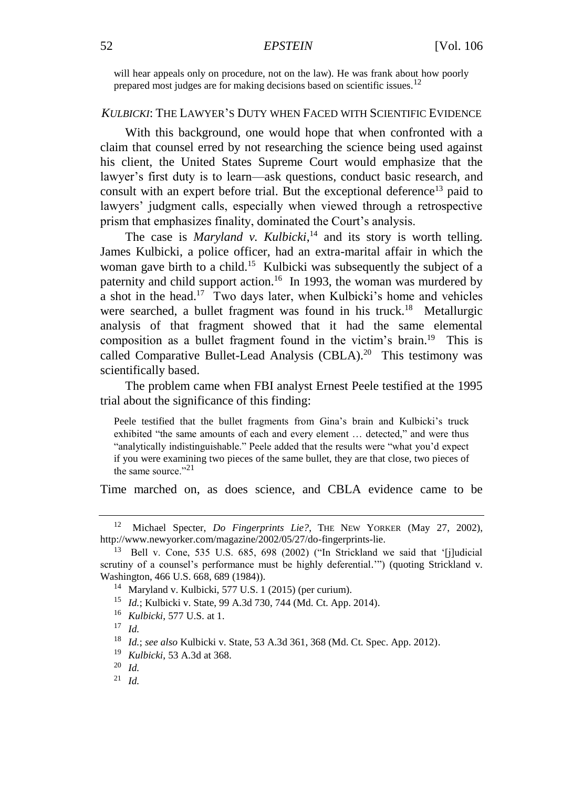will hear appeals only on procedure, not on the law). He was frank about how poorly prepared most judges are for making decisions based on scientific issues.<sup>12</sup>

# *KULBICKI*: THE LAWYER'S DUTY WHEN FACED WITH SCIENTIFIC EVIDENCE

With this background, one would hope that when confronted with a claim that counsel erred by not researching the science being used against his client, the United States Supreme Court would emphasize that the lawyer's first duty is to learn—ask questions, conduct basic research, and consult with an expert before trial. But the exceptional deference<sup>13</sup> paid to lawyers' judgment calls, especially when viewed through a retrospective prism that emphasizes finality, dominated the Court's analysis.

The case is *Maryland v. Kulbicki*,<sup>14</sup> and its story is worth telling. James Kulbicki, a police officer, had an extra-marital affair in which the woman gave birth to a child.<sup>15</sup> Kulbicki was subsequently the subject of a paternity and child support action.<sup>16</sup> In 1993, the woman was murdered by a shot in the head.<sup>17</sup> Two days later, when Kulbicki's home and vehicles were searched, a bullet fragment was found in his truck.<sup>18</sup> Metallurgic analysis of that fragment showed that it had the same elemental composition as a bullet fragment found in the victim's brain.<sup>19</sup> This is called Comparative Bullet-Lead Analysis (CBLA).<sup>20</sup> This testimony was scientifically based.

The problem came when FBI analyst Ernest Peele testified at the 1995 trial about the significance of this finding:

Peele testified that the bullet fragments from Gina's brain and Kulbicki's truck exhibited "the same amounts of each and every element … detected," and were thus "analytically indistinguishable." Peele added that the results were "what you'd expect if you were examining two pieces of the same bullet, they are that close, two pieces of the same source." $^{21}$ 

Time marched on, as does science, and CBLA evidence came to be

<sup>&</sup>lt;sup>12</sup> Michael Specter, *Do Fingerprints Lie?*, THE NEW YORKER (May 27, 2002), http://www.newyorker.com/magazine/2002/05/27/do-fingerprints-lie.

<sup>&</sup>lt;sup>13</sup> Bell v. Cone, 535 U.S. 685, 698 (2002) ("In Strickland we said that '[j]udicial scrutiny of a counsel's performance must be highly deferential.'") (quoting Strickland v. Washington, 466 U.S. 668, 689 (1984)).

<sup>14</sup> Maryland v. Kulbicki, 577 U.S. 1 (2015) (per curium).

<sup>15</sup> *Id.*; Kulbicki v. State, 99 A.3d 730, 744 (Md. Ct. App. 2014).

<sup>16</sup> *Kulbicki*, 577 U.S. at 1.

<sup>17</sup> *Id.*

<sup>18</sup> *Id.*; *see also* Kulbicki v. State, 53 A.3d 361, 368 (Md. Ct. Spec. App. 2012).

<sup>19</sup> *Kulbicki*, 53 A.3d at 368.

<sup>20</sup> *Id.*

<sup>21</sup> *Id.*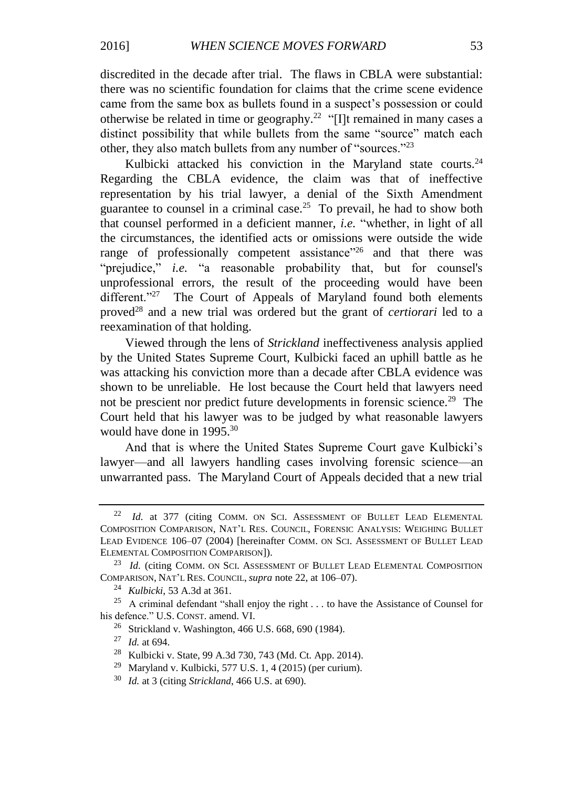discredited in the decade after trial. The flaws in CBLA were substantial: there was no scientific foundation for claims that the crime scene evidence came from the same box as bullets found in a suspect's possession or could otherwise be related in time or geography.<sup>22</sup> "[I]t remained in many cases a distinct possibility that while bullets from the same "source" match each other, they also match bullets from any number of "sources."<sup>23</sup>

Kulbicki attacked his conviction in the Maryland state courts. $24$ Regarding the CBLA evidence, the claim was that of ineffective representation by his trial lawyer, a denial of the Sixth Amendment guarantee to counsel in a criminal case.<sup>25</sup> To prevail, he had to show both that counsel performed in a deficient manner, *i.e.* "whether, in light of all the circumstances, the identified acts or omissions were outside the wide range of professionally competent assistance"<sup>26</sup> and that there was "prejudice," *i.e.* "a reasonable probability that, but for counsel's unprofessional errors, the result of the proceeding would have been different."<sup>27</sup> The Court of Appeals of Maryland found both elements proved<sup>28</sup> and a new trial was ordered but the grant of *certiorari* led to a reexamination of that holding.

Viewed through the lens of *Strickland* ineffectiveness analysis applied by the United States Supreme Court, Kulbicki faced an uphill battle as he was attacking his conviction more than a decade after CBLA evidence was shown to be unreliable. He lost because the Court held that lawyers need not be prescient nor predict future developments in forensic science.<sup>29</sup> The Court held that his lawyer was to be judged by what reasonable lawyers would have done in 1995.<sup>30</sup>

And that is where the United States Supreme Court gave Kulbicki's lawyer—and all lawyers handling cases involving forensic science—an unwarranted pass. The Maryland Court of Appeals decided that a new trial

<sup>&</sup>lt;sup>22</sup> *Id.* at 377 (citing COMM. ON SCI. ASSESSMENT OF BULLET LEAD ELEMENTAL COMPOSITION COMPARISON, NAT'L RES. COUNCIL, FORENSIC ANALYSIS: WEIGHING BULLET LEAD EVIDENCE 106–07 (2004) [hereinafter COMM. ON SCI. ASSESSMENT OF BULLET LEAD ELEMENTAL COMPOSITION COMPARISON]).

<sup>&</sup>lt;sup>23</sup> *Id.* (citing COMM. ON SCI. ASSESSMENT OF BULLET LEAD ELEMENTAL COMPOSITION COMPARISON, NAT'L RES. COUNCIL, *supra* note 22, at 106–07).

<sup>24</sup> *Kulbicki*, 53 A.3d at 361.

<sup>&</sup>lt;sup>25</sup> A criminal defendant "shall enjoy the right . . . to have the Assistance of Counsel for his defence." U.S. CONST. amend. VI.

<sup>26</sup> Strickland v. Washington, 466 U.S. 668, 690 (1984).

<sup>27</sup> *Id.* at 694.

<sup>28</sup> Kulbicki v. State, 99 A.3d 730, 743 (Md. Ct. App. 2014).

<sup>&</sup>lt;sup>29</sup> Maryland v. Kulbicki, 577 U.S. 1, 4 (2015) (per curium).

<sup>30</sup> *Id.* at 3 (citing *Strickland*, 466 U.S. at 690).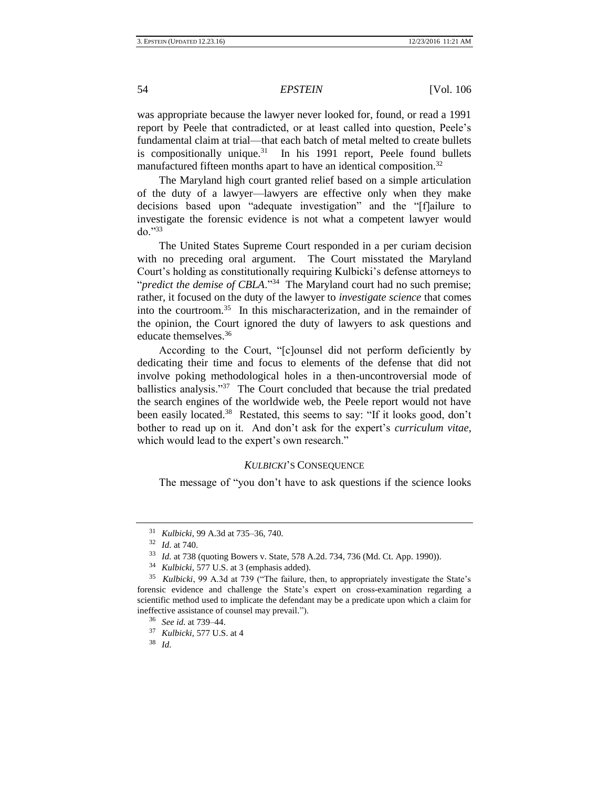was appropriate because the lawyer never looked for, found, or read a 1991 report by Peele that contradicted, or at least called into question, Peele's fundamental claim at trial—that each batch of metal melted to create bullets is compositionally unique. $31$  In his 1991 report, Peele found bullets manufactured fifteen months apart to have an identical composition.<sup>32</sup>

The Maryland high court granted relief based on a simple articulation of the duty of a lawyer—lawyers are effective only when they make decisions based upon "adequate investigation" and the "[f]ailure to investigate the forensic evidence is not what a competent lawyer would do."<sup>33</sup>

The United States Supreme Court responded in a per curiam decision with no preceding oral argument. The Court misstated the Maryland Court's holding as constitutionally requiring Kulbicki's defense attorneys to "*predict the demise of CBLA*."<sup>34</sup> The Maryland court had no such premise; rather, it focused on the duty of the lawyer to *investigate science* that comes into the courtroom.<sup>35</sup> In this mischaracterization, and in the remainder of the opinion, the Court ignored the duty of lawyers to ask questions and educate themselves.<sup>36</sup>

According to the Court, "[c]ounsel did not perform deficiently by dedicating their time and focus to elements of the defense that did not involve poking methodological holes in a then-uncontroversial mode of ballistics analysis."<sup>37</sup> The Court concluded that because the trial predated the search engines of the worldwide web, the Peele report would not have been easily located.<sup>38</sup> Restated, this seems to say: "If it looks good, don't bother to read up on it. And don't ask for the expert's *curriculum vitae*, which would lead to the expert's own research."

# *KULBICKI*'S CONSEQUENCE

The message of "you don't have to ask questions if the science looks

<sup>31</sup> *Kulbicki*, 99 A.3d at 735–36, 740.

<sup>32</sup> *Id.* at 740.

<sup>33</sup> *Id.* at 738 (quoting Bowers v. State, 578 A.2d. 734, 736 (Md. Ct. App. 1990)).

<sup>34</sup> *Kulbicki*, 577 U.S. at 3 (emphasis added).

<sup>35</sup> *Kulbicki*, 99 A.3d at 739 ("The failure, then, to appropriately investigate the State's forensic evidence and challenge the State's expert on cross-examination regarding a scientific method used to implicate the defendant may be a predicate upon which a claim for ineffective assistance of counsel may prevail.").

<sup>36</sup> *See id.* at 739–44.

<sup>37</sup> *Kulbicki*, 577 U.S. at 4

<sup>38</sup> *Id.*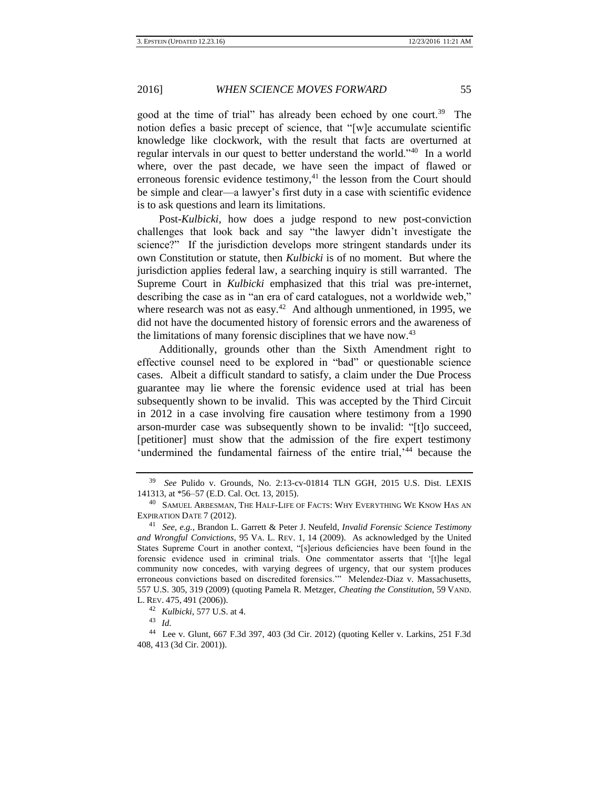good at the time of trial" has already been echoed by one court.<sup>39</sup> The notion defies a basic precept of science, that "[w]e accumulate scientific knowledge like clockwork, with the result that facts are overturned at regular intervals in our quest to better understand the world."<sup>40</sup> In a world where, over the past decade, we have seen the impact of flawed or erroneous forensic evidence testimony, $41$  the lesson from the Court should be simple and clear—a lawyer's first duty in a case with scientific evidence is to ask questions and learn its limitations.

Post-*Kulbicki*, how does a judge respond to new post-conviction challenges that look back and say "the lawyer didn't investigate the science?" If the jurisdiction develops more stringent standards under its own Constitution or statute, then *Kulbicki* is of no moment. But where the jurisdiction applies federal law, a searching inquiry is still warranted. The Supreme Court in *Kulbicki* emphasized that this trial was pre-internet, describing the case as in "an era of card catalogues, not a worldwide web," where research was not as easy. $42$  And although unmentioned, in 1995, we did not have the documented history of forensic errors and the awareness of the limitations of many forensic disciplines that we have now. $43$ 

Additionally, grounds other than the Sixth Amendment right to effective counsel need to be explored in "bad" or questionable science cases. Albeit a difficult standard to satisfy, a claim under the Due Process guarantee may lie where the forensic evidence used at trial has been subsequently shown to be invalid. This was accepted by the Third Circuit in 2012 in a case involving fire causation where testimony from a 1990 arson-murder case was subsequently shown to be invalid: "[t]o succeed, [petitioner] must show that the admission of the fire expert testimony 'undermined the fundamental fairness of the entire trial, $i<sup>44</sup>$  because the

<sup>39</sup> *See* Pulido v. Grounds, No. 2:13-cv-01814 TLN GGH, 2015 U.S. Dist. LEXIS 141313, at \*56–57 (E.D. Cal. Oct. 13, 2015).

<sup>&</sup>lt;sup>40</sup> SAMUEL ARBESMAN, THE HALF-LIFE OF FACTS: WHY EVERYTHING WE KNOW HAS AN EXPIRATION DATE 7 (2012).

<sup>41</sup> *See, e.g.*, Brandon L. Garrett & Peter J. Neufeld, *Invalid Forensic Science Testimony and Wrongful Convictions*, 95 VA. L. REV. 1, 14 (2009). As acknowledged by the United States Supreme Court in another context, "[s]erious deficiencies have been found in the forensic evidence used in criminal trials. One commentator asserts that '[t]he legal community now concedes, with varying degrees of urgency, that our system produces erroneous convictions based on discredited forensics.'" Melendez-Diaz v. Massachusetts, 557 U.S. 305, 319 (2009) (quoting Pamela R. Metzger, *Cheating the Constitution*, 59 VAND. L. REV. 475, 491 (2006)).

<sup>42</sup> *Kulbicki*, 577 U.S. at 4.

<sup>43</sup> *Id.*

<sup>44</sup> Lee v. Glunt, 667 F.3d 397, 403 (3d Cir. 2012) (quoting Keller v. Larkins, 251 F.3d 408, 413 (3d Cir. 2001)).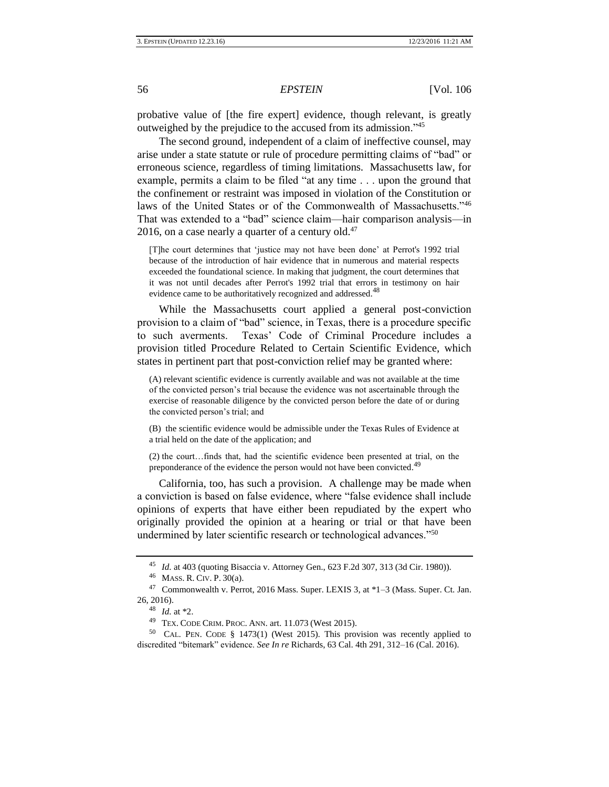probative value of [the fire expert] evidence, though relevant, is greatly outweighed by the prejudice to the accused from its admission."<sup>45</sup>

The second ground, independent of a claim of ineffective counsel, may arise under a state statute or rule of procedure permitting claims of "bad" or erroneous science, regardless of timing limitations. Massachusetts law, for example, permits a claim to be filed "at any time . . . upon the ground that the confinement or restraint was imposed in violation of the Constitution or laws of the United States or of the Commonwealth of Massachusetts."<sup>46</sup> That was extended to a "bad" science claim—hair comparison analysis—in 2016, on a case nearly a quarter of a century old. $47$ 

[T]he court determines that 'justice may not have been done' at Perrot's 1992 trial because of the introduction of hair evidence that in numerous and material respects exceeded the foundational science. In making that judgment, the court determines that it was not until decades after Perrot's 1992 trial that errors in testimony on hair evidence came to be authoritatively recognized and addressed.<sup>48</sup>

While the Massachusetts court applied a general post-conviction provision to a claim of "bad" science, in Texas, there is a procedure specific to such averments. Texas' Code of Criminal Procedure includes a provision titled Procedure Related to Certain Scientific Evidence, which states in pertinent part that post-conviction relief may be granted where:

(A) relevant scientific evidence is currently available and was not available at the time of the convicted person's trial because the evidence was not ascertainable through the exercise of reasonable diligence by the convicted person before the date of or during the convicted person's trial; and

(B) the scientific evidence would be admissible under the Texas Rules of Evidence at a trial held on the date of the application; and

(2) the court…finds that, had the scientific evidence been presented at trial, on the preponderance of the evidence the person would not have been convicted.<sup>49</sup>

California, too, has such a provision. A challenge may be made when a conviction is based on false evidence, where "false evidence shall include opinions of experts that have either been repudiated by the expert who originally provided the opinion at a hearing or trial or that have been undermined by later scientific research or technological advances."<sup>50</sup>

<sup>45</sup> *Id.* at 403 (quoting Bisaccia v. Attorney Gen., 623 F.2d 307, 313 (3d Cir. 1980)).

<sup>46</sup> MASS. R. CIV. P. 30(a).

<sup>47</sup> Commonwealth v. Perrot, 2016 Mass. Super. LEXIS 3, at \*1–3 (Mass. Super. Ct. Jan. 26, 2016).

<sup>48</sup> *Id.* at \*2.

<sup>49</sup> TEX. CODE CRIM. PROC. ANN. art. 11.073 (West 2015).

<sup>50</sup> CAL. PEN. CODE § 1473(1) (West 2015). This provision was recently applied to discredited "bitemark" evidence. *See In re* Richards, 63 Cal. 4th 291, 312–16 (Cal. 2016).